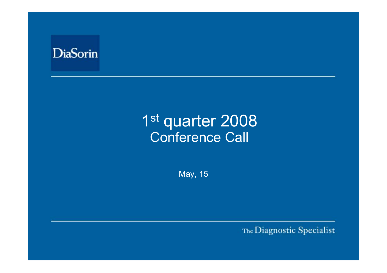

# 1st quarter 2008 Conference Call

May, 15

The Diagnostic Specialist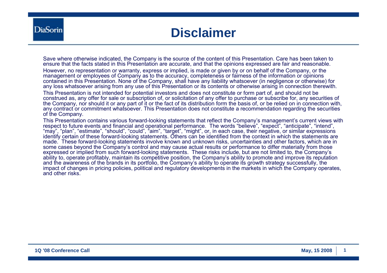### **Disclaimer**

Save where otherwise indicated, the Company is the source of the content of this Presentation. Care has been taken to ensure that the facts stated in this Presentation are accurate, and that the opinions expressed are fair and reasonable. However, no representation or warranty, express or implied, is made or given by or on behalf of the Company, or the management or employees of Company as to the accuracy, completeness or fairness of the information or opinions contained in this Presentation. None of the Company, shall have any liability whatsoever (in negligence or otherwise) for any loss whatsoever arising from any use of this Presentation or its contents or otherwise arising in connection therewith. This Presentation is not intended for potential investors and does not constitute or form part of, and should not be construed as, any offer for sale or subscription of, or solicitation of any offer to purchase or subscribe for, any securities of the Company, nor should it or any part of it or the fact of its distribution form the basis of, or be relied on in connection with, any contract or commitment whatsoever. This Presentation does not constitute a recommendation regarding the securities of the Company.

This Presentation contains various forward-looking statements that reflect the Company's management's current views with respect to future events and financial and operational performance. The words "believe", "expect", "anticipate", "intend", "may", "plan", "estimate", "should", "could", "aim", "target", "might", or, in each case, their negative, or similar expressions identify certain of these forward-looking statements. Others can be identified from the context in which the statements are made. These forward-looking statements involve known and unknown risks, uncertainties and other factors, which are in some cases beyond the Company's control and may cause actual results or performance to differ materially from those expressed or implied from such forward-looking statements. These risks include, but are not limited to, the Company's ability to, operate profitably, maintain its competitive position, the Company's ability to promote and improve its reputation and the awareness of the brands in its portfolio, the Company's ability to operate its growth strategy successfully, the impact of changes in pricing policies, political and regulatory developments in the markets in which the Company operates, and other risks.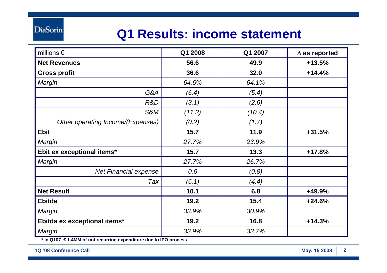# **Q1 Results: income statement**

| millions $\epsilon$               | Q1 2008 | Q1 2007 | $\Delta$ as reported |
|-----------------------------------|---------|---------|----------------------|
| <b>Net Revenues</b>               | 56.6    | 49.9    | $+13.5%$             |
| <b>Gross profit</b>               | 36.6    | 32.0    | $+14.4%$             |
| Margin                            | 64.6%   | 64.1%   |                      |
| G&A                               | (6.4)   | (5.4)   |                      |
| R&D                               | (3.1)   | (2.6)   |                      |
| S&M                               | (11.3)  | (10.4)  |                      |
| Other operating Income/(Expenses) | (0.2)   | (1.7)   |                      |
| <b>Ebit</b>                       | 15.7    | 11.9    | $+31.5%$             |
| Margin                            | 27.7%   | 23.9%   |                      |
| Ebit ex exceptional items*        | 15.7    | 13.3    | $+17.8%$             |
| Margin                            | 27.7%   | 26.7%   |                      |
| <b>Net Financial expense</b>      | 0.6     | (0.8)   |                      |
| Tax                               | (6.1)   | (4.4)   |                      |
| <b>Net Result</b>                 | 10.1    | 6.8     | +49.9%               |
| <b>Ebitda</b>                     | 19.2    | 15.4    | $+24.6%$             |
| Margin                            | 33.9%   | 30.9%   |                      |
| Ebitda ex exceptional items*      | 19.2    | 16.8    | $+14.3%$             |
| Margin                            | 33.9%   | 33.7%   |                      |

**\* In Q107 € 1.4MM of not recurring expenditure due to IPO process**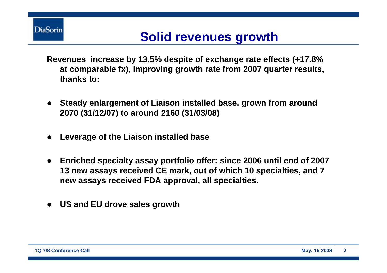

# **Solid revenues growth**

- **Revenues increase by 13.5% despite of exchange rate effects (+17.8% at comparable fx), improving growth rate from 2007 quarter results, thanks to:**
- **Steady enlargement of Liaison installed base, grown from around 2070 (31/12/07) to around 2160 (31/03/08)**
- ●**Leverage of the Liaison installed base**
- ● **Enriched specialty assay portfolio offer: since 2006 until end of 2007 13 new assays received CE mark, out of which 10 specialties, and 7 new assays received FDA approval, all specialties.**
- ●**US and EU drove sales growth**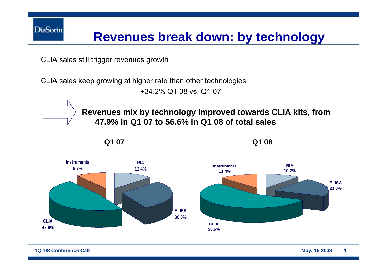

# **Revenues break down: by technology**

CLIA sales still trigger revenues growth

CLIA sales keep growing at higher rate than other technologies +34.2% Q1 08 vs. Q1 07





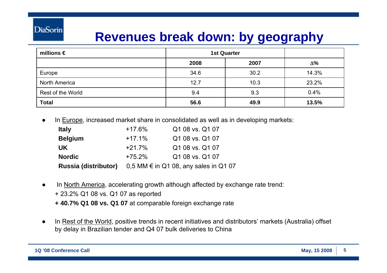#### **DiaSorin**

# **Revenues break down: by geography**

| millions $\epsilon$ | <b>1st Quarter</b> |      |            |
|---------------------|--------------------|------|------------|
|                     | 2008               | 2007 | $\Delta\%$ |
| Europe              | 34.6               | 30.2 | 14.3%      |
| North America       | 12.7               | 10.3 | 23.2%      |
| Rest of the World   | 9.4                | 9.3  | 0.4%       |
| <b>Total</b>        | 56.6               | 49.9 | 13.5%      |

●In Europe, increased market share in consolidated as well as in developing markets:

| <b>Italy</b>                | $+17.6%$ | Q1 08 vs. Q1 07                                  |
|-----------------------------|----------|--------------------------------------------------|
| <b>Belgium</b>              | $+17.1%$ | Q1 08 vs. Q1 07                                  |
| <b>UK</b>                   | $+21.7%$ | Q1 08 vs. Q1 07                                  |
| <b>Nordic</b>               | $+75.2%$ | Q1 08 vs. Q1 07                                  |
| <b>Russia (distributor)</b> |          | $0,5$ MM $\epsilon$ in Q1 08, any sales in Q1 07 |

- ● In North America, accelerating growth although affected by exchange rate trend:
	- + 23.2% Q1 08 vs. Q1 07 as reported
	- **+ 40.7% Q1 08 vs. Q1 07** at comparable foreign exchange rate
- ● In Rest of the World, positive trends in recent initiatives and distributors' markets (Australia) offset by delay in Brazilian tender and Q4 07 bulk deliveries to China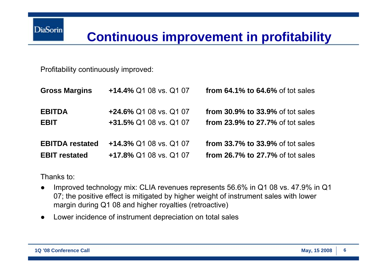# **Continuous improvement in profitability**

Profitability continuously improved:

| <b>Gross Margins</b>   | +14.4% Q1 08 vs. Q1 07 | from $64.1\%$ to $64.6\%$ of tot sales  |
|------------------------|------------------------|-----------------------------------------|
| <b>EBITDA</b>          | +24.6% Q1 08 vs. Q1 07 | <b>from 30.9% to 33.9% of tot sales</b> |
| <b>EBIT</b>            | +31.5% Q1 08 vs. Q1 07 | from 23.9% to 27.7% of tot sales        |
| <b>EBITDA</b> restated | +14.3% Q1 08 vs. Q1 07 | <b>from 33.7% to 33.9% of tot sales</b> |
| <b>EBIT restated</b>   | +17.8% Q1 08 vs. Q1 07 | from 26.7% to 27.7% of tot sales        |

Thanks to:

- ● Improved technology mix: CLIA revenues represents 56.6% in Q1 08 vs. 47.9% in Q1 07; the positive effect is mitigated by higher weight of instrument sales with lower margin during Q1 08 and higher royalties (retroactive)
- ●Lower incidence of instrument depreciation on total sales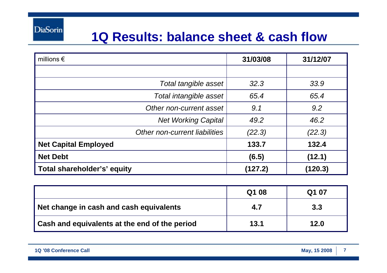### **1Q Results: balance sheet & cash flow**

| millions $\epsilon$           | 31/03/08 | 31/12/07 |
|-------------------------------|----------|----------|
|                               |          |          |
| Total tangible asset          | 32.3     | 33.9     |
| Total intangible asset        | 65.4     | 65.4     |
| Other non-current asset       | 9.1      | 9.2      |
| <b>Net Working Capital</b>    | 49.2     | 46.2     |
| Other non-current liabilities | (22.3)   | (22.3)   |
| <b>Net Capital Employed</b>   | 133.7    | 132.4    |
| <b>Net Debt</b>               | (6.5)    | (12.1)   |
| Total shareholder's' equity   | (127.2)  | (120.3)  |

|                                               | Q1 08 | Q1 07 |
|-----------------------------------------------|-------|-------|
| Net change in cash and cash equivalents       | 4.7   | 3.3   |
| Cash and equivalents at the end of the period | 13.1  | 12.0  |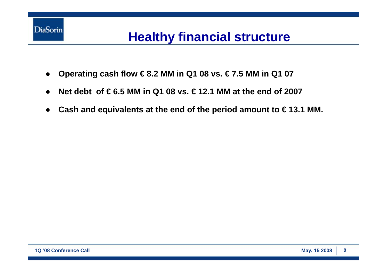

# **Healthy financial structure**

- $\bullet$ **Operating cash flow € 8.2 MM in Q1 08 vs. € 7.5 MM in Q1 07**
- ●**Net debt of € 6.5 MM in Q1 08 vs. € 12.1 MM at the end of 2007**
- ●**Cash and equivalents at the end of the period amount to € 13.1 MM.**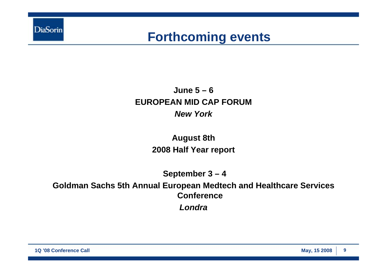

#### **Forthcoming events**

#### **June 5 – 6 EUROPEAN MID CAP FORUM***New York*

#### **August 8th 2008 Half Year report**

**September 3 – 4**

**Goldman Sachs 5th Annual European Medtech and Healthcare Services Conference***Londra*